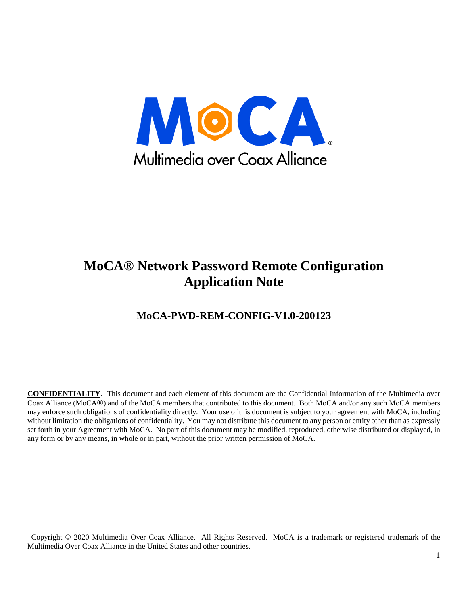

#### **MoCA® Network Password Remote Configuration Application Note**

#### **MoCA-PWD-REM-CONFIG-V1.0-200123**

**CONFIDENTIALITY**. This document and each element of this document are the Confidential Information of the Multimedia over Coax Alliance (MoCA®) and of the MoCA members that contributed to this document. Both MoCA and/or any such MoCA members may enforce such obligations of confidentiality directly. Your use of this document is subject to your agreement with MoCA, including without limitation the obligations of confidentiality. You may not distribute this document to any person or entity other than as expressly set forth in your Agreement with MoCA. No part of this document may be modified, reproduced, otherwise distributed or displayed, in any form or by any means, in whole or in part, without the prior written permission of MoCA.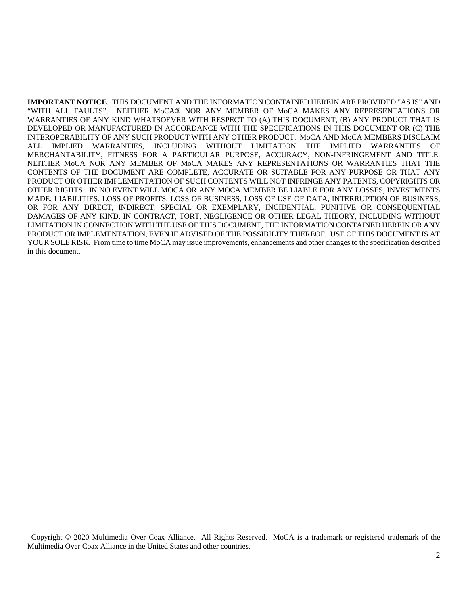**IMPORTANT NOTICE**. THIS DOCUMENT AND THE INFORMATION CONTAINED HEREIN ARE PROVIDED "AS IS" AND "WITH ALL FAULTS". NEITHER MoCA® NOR ANY MEMBER OF MoCA MAKES ANY REPRESENTATIONS OR WARRANTIES OF ANY KIND WHATSOEVER WITH RESPECT TO (A) THIS DOCUMENT, (B) ANY PRODUCT THAT IS DEVELOPED OR MANUFACTURED IN ACCORDANCE WITH THE SPECIFICATIONS IN THIS DOCUMENT OR (C) THE INTEROPERABILITY OF ANY SUCH PRODUCT WITH ANY OTHER PRODUCT. MoCA AND MoCA MEMBERS DISCLAIM ALL IMPLIED WARRANTIES, INCLUDING WITHOUT LIMITATION THE IMPLIED WARRANTIES OF MERCHANTABILITY, FITNESS FOR A PARTICULAR PURPOSE, ACCURACY, NON-INFRINGEMENT AND TITLE. NEITHER MoCA NOR ANY MEMBER OF MoCA MAKES ANY REPRESENTATIONS OR WARRANTIES THAT THE CONTENTS OF THE DOCUMENT ARE COMPLETE, ACCURATE OR SUITABLE FOR ANY PURPOSE OR THAT ANY PRODUCT OR OTHER IMPLEMENTATION OF SUCH CONTENTS WILL NOT INFRINGE ANY PATENTS, COPYRIGHTS OR OTHER RIGHTS. IN NO EVENT WILL MOCA OR ANY MOCA MEMBER BE LIABLE FOR ANY LOSSES, INVESTMENTS MADE, LIABILITIES, LOSS OF PROFITS, LOSS OF BUSINESS, LOSS OF USE OF DATA, INTERRUPTION OF BUSINESS, OR FOR ANY DIRECT, INDIRECT, SPECIAL OR EXEMPLARY, INCIDENTIAL, PUNITIVE OR CONSEQUENTIAL DAMAGES OF ANY KIND, IN CONTRACT, TORT, NEGLIGENCE OR OTHER LEGAL THEORY, INCLUDING WITHOUT LIMITATION IN CONNECTION WITH THE USE OF THIS DOCUMENT, THE INFORMATION CONTAINED HEREIN OR ANY PRODUCT OR IMPLEMENTATION, EVEN IF ADVISED OF THE POSSIBILITY THEREOF. USE OF THIS DOCUMENT IS AT YOUR SOLE RISK. From time to time MoCA may issue improvements, enhancements and other changes to the specification described in this document.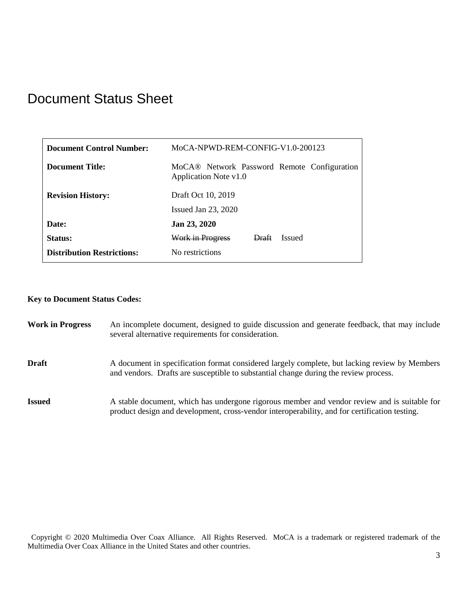## Document Status Sheet

| Document Control Number:          | MoCA-NPWD-REM-CONFIG-V1.0-200123                                                 |
|-----------------------------------|----------------------------------------------------------------------------------|
| Document Title:                   | MoCA <sup>®</sup> Network Password Remote Configuration<br>Application Note v1.0 |
| <b>Revision History:</b>          | Draft Oct 10, 2019                                                               |
|                                   | Issued Jan $23$ , $2020$                                                         |
| Date:                             | Jan 23, 2020                                                                     |
| Status:                           | Work in Progress<br>Draft<br><b>Issued</b>                                       |
| <b>Distribution Restrictions:</b> | No restrictions                                                                  |

#### **Key to Document Status Codes:**

| <b>Work in Progress</b> | An incomplete document, designed to guide discussion and generate feedback, that may include<br>several alternative requirements for consideration.                                           |
|-------------------------|-----------------------------------------------------------------------------------------------------------------------------------------------------------------------------------------------|
| <b>Draft</b>            | A document in specification format considered largely complete, but lacking review by Members<br>and vendors. Drafts are susceptible to substantial change during the review process.         |
| <b>Issued</b>           | A stable document, which has undergone rigorous member and vendor review and is suitable for<br>product design and development, cross-vendor interoperability, and for certification testing. |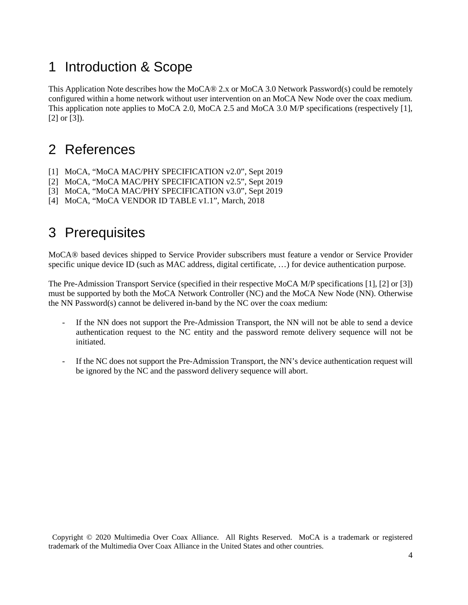## 1 Introduction & Scope

This Application Note describes how the MoCA® 2.x or MoCA 3.0 Network Password(s) could be remotely configured within a home network without user intervention on an MoCA New Node over the coax medium. This application note applies to MoCA 2.0, MoCA 2.5 and MoCA 3.0 M/P specifications (respectively [\[1\],](#page-3-0)  [\[2\]](#page-3-1) or [\[3\]\)](#page-3-2).

# 2 References

- <span id="page-3-0"></span>[1] MoCA, "MoCA MAC/PHY SPECIFICATION v2.0", Sept 2019
- <span id="page-3-1"></span>[2] MoCA, "MoCA MAC/PHY SPECIFICATION v2.5", Sept 2019
- <span id="page-3-2"></span>[3] MoCA, "MoCA MAC/PHY SPECIFICATION v3.0", Sept 2019
- [4] MoCA, "MoCA VENDOR ID TABLE v1.1", March, 2018

#### 3 Prerequisites

MoCA® based devices shipped to Service Provider subscribers must feature a vendor or Service Provider specific unique device ID (such as MAC address, digital certificate, ...) for device authentication purpose.

The Pre-Admission Transport Service (specified in their respective MoCA M/P specifications [\[1\],](#page-3-0) [\[2\]](#page-3-1) or [\[3\]\)](#page-3-2) must be supported by both the MoCA Network Controller (NC) and the MoCA New Node (NN). Otherwise the NN Password(s) cannot be delivered in-band by the NC over the coax medium:

- If the NN does not support the Pre-Admission Transport, the NN will not be able to send a device authentication request to the NC entity and the password remote delivery sequence will not be initiated.
- If the NC does not support the Pre-Admission Transport, the NN's device authentication request will be ignored by the NC and the password delivery sequence will abort.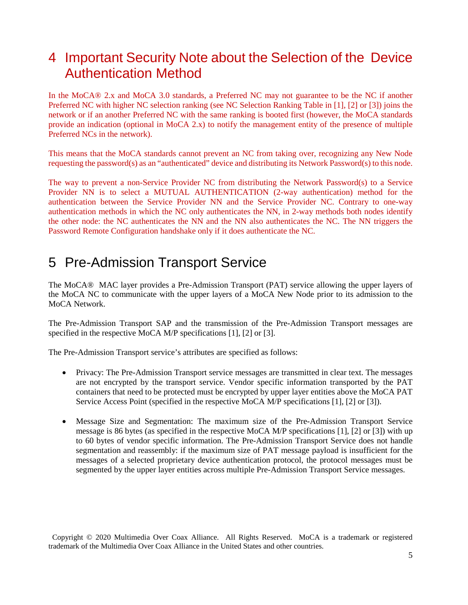#### 4 Important Security Note about the Selection of the Device Authentication Method

In the MoCA® 2.x and MoCA 3.0 standards, a Preferred NC may not guarantee to be the NC if another Preferred NC with higher NC selection ranking (see NC Selection Ranking Table in [\[1\],](#page-3-0) [\[2\]](#page-3-1) or [\[3\]\)](#page-3-2) joins the network or if an another Preferred NC with the same ranking is booted first (however, the MoCA standards provide an indication (optional in MoCA 2.x) to notify the management entity of the presence of multiple Preferred NCs in the network).

This means that the MoCA standards cannot prevent an NC from taking over, recognizing any New Node requesting the password(s) as an "authenticated" device and distributing its Network Password(s) to this node.

The way to prevent a non-Service Provider NC from distributing the Network Password(s) to a Service Provider NN is to select a MUTUAL AUTHENTICATION (2-way authentication) method for the authentication between the Service Provider NN and the Service Provider NC. Contrary to one-way authentication methods in which the NC only authenticates the NN, in 2-way methods both nodes identify the other node: the NC authenticates the NN and the NN also authenticates the NC. The NN triggers the Password Remote Configuration handshake only if it does authenticate the NC.

#### 5 Pre-Admission Transport Service

The MoCA® MAC layer provides a Pre-Admission Transport (PAT) service allowing the upper layers of the MoCA NC to communicate with the upper layers of a MoCA New Node prior to its admission to the MoCA Network.

The Pre-Admission Transport SAP and the transmission of the Pre-Admission Transport messages are specified in the respective MoCA M/P specifications [\[1\],](#page-3-0) [\[2\]](#page-3-1) o[r \[3\].](#page-3-2)

The Pre-Admission Transport service's attributes are specified as follows:

- Privacy: The Pre-Admission Transport service messages are transmitted in clear text. The messages are not encrypted by the transport service. Vendor specific information transported by the PAT containers that need to be protected must be encrypted by upper layer entities above the MoCA PAT Service Access Point (specified in the respective MoCA M/P specifications [\[1\],](#page-3-0) [\[2\]](#page-3-1) or [\[3\]\)](#page-3-2).
- Message Size and Segmentation: The maximum size of the Pre-Admission Transport Service message is 86 bytes (as specified in the respective MoCA M/P specifications [\[1\],](#page-3-0) [\[2\]](#page-3-1) or [\[3\]\)](#page-3-2) with up to 60 bytes of vendor specific information. The Pre-Admission Transport Service does not handle segmentation and reassembly: if the maximum size of PAT message payload is insufficient for the messages of a selected proprietary device authentication protocol, the protocol messages must be segmented by the upper layer entities across multiple Pre-Admission Transport Service messages.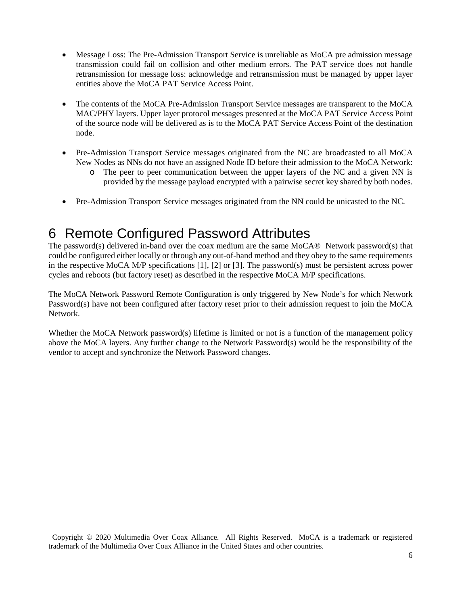- Message Loss: The Pre-Admission Transport Service is unreliable as MoCA pre admission message transmission could fail on collision and other medium errors. The PAT service does not handle retransmission for message loss: acknowledge and retransmission must be managed by upper layer entities above the MoCA PAT Service Access Point.
- The contents of the MoCA Pre-Admission Transport Service messages are transparent to the MoCA MAC/PHY layers. Upper layer protocol messages presented at the MoCA PAT Service Access Point of the source node will be delivered as is to the MoCA PAT Service Access Point of the destination node.
- Pre-Admission Transport Service messages originated from the NC are broadcasted to all MoCA New Nodes as NNs do not have an assigned Node ID before their admission to the MoCA Network:
	- o The peer to peer communication between the upper layers of the NC and a given NN is provided by the message payload encrypted with a pairwise secret key shared by both nodes.
- Pre-Admission Transport Service messages originated from the NN could be unicasted to the NC.

#### 6 Remote Configured Password Attributes

The password(s) delivered in-band over the coax medium are the same MoCA® Network password(s) that could be configured either locally or through any out-of-band method and they obey to the same requirements in the respective MoCA M/P specifications [\[1\],](#page-3-0) [\[2\]](#page-3-1) or [\[3\].](#page-3-2) The password(s) must be persistent across power cycles and reboots (but factory reset) as described in the respective MoCA M/P specifications.

The MoCA Network Password Remote Configuration is only triggered by New Node's for which Network Password(s) have not been configured after factory reset prior to their admission request to join the MoCA Network.

Whether the MoCA Network password(s) lifetime is limited or not is a function of the management policy above the MoCA layers. Any further change to the Network Password(s) would be the responsibility of the vendor to accept and synchronize the Network Password changes.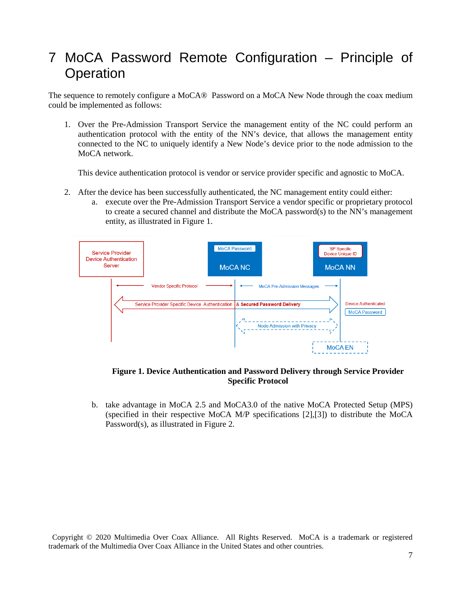#### 7 MoCA Password Remote Configuration – Principle of **Operation**

The sequence to remotely configure a MoCA® Password on a MoCA New Node through the coax medium could be implemented as follows:

1. Over the Pre-Admission Transport Service the management entity of the NC could perform an authentication protocol with the entity of the NN's device, that allows the management entity connected to the NC to uniquely identify a New Node's device prior to the node admission to the MoCA network.

This device authentication protocol is vendor or service provider specific and agnostic to MoCA.

- 2. After the device has been successfully authenticated, the NC management entity could either:
	- a. execute over the Pre-Admission Transport Service a vendor specific or proprietary protocol to create a secured channel and distribute the MoCA password(s) to the NN's management entity, as illustrated in [Figure 1.](#page-6-0)



**Figure 1. Device Authentication and Password Delivery through Service Provider Specific Protocol**

<span id="page-6-0"></span>b. take advantage in MoCA 2.5 and MoCA3.0 of the native MoCA Protected Setup (MPS) (specified in their respective MoCA M/P specifications [\[2\]](#page-3-1)[,\[3\]\)](#page-3-2) to distribute the MoCA Password(s), as illustrated in [Figure 2.](#page-7-0)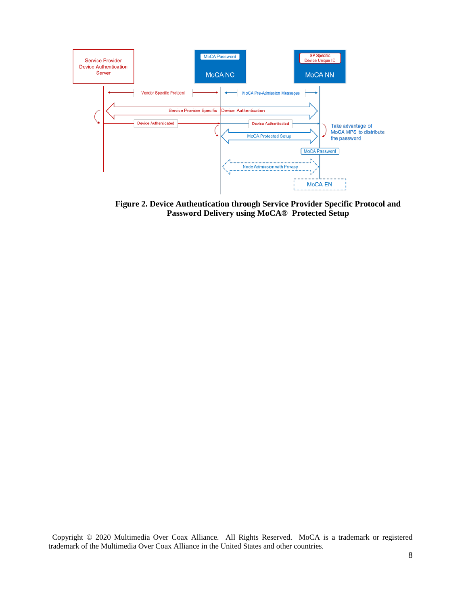

<span id="page-7-0"></span>**Figure 2. Device Authentication through Service Provider Specific Protocol and Password Delivery using MoCA® Protected Setup**